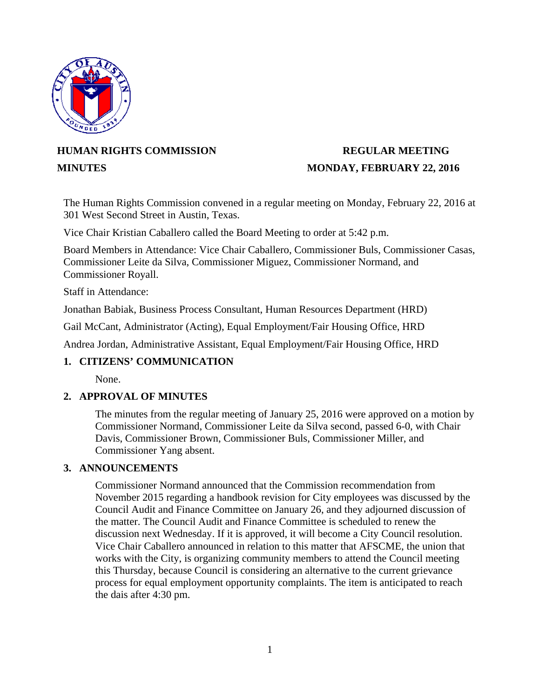

# **HUMAN RIGHTS COMMISSION REGULAR MEETING**

# **MINUTES** MONDAY, FEBRUARY 22, 2016

The Human Rights Commission convened in a regular meeting on Monday, February 22, 2016 at 301 West Second Street in Austin, Texas.

Vice Chair Kristian Caballero called the Board Meeting to order at 5:42 p.m.

Board Members in Attendance: Vice Chair Caballero, Commissioner Buls, Commissioner Casas, Commissioner Leite da Silva, Commissioner Miguez, Commissioner Normand, and Commissioner Royall.

Staff in Attendance:

Jonathan Babiak, Business Process Consultant, Human Resources Department (HRD)

Gail McCant, Administrator (Acting), Equal Employment/Fair Housing Office, HRD

Andrea Jordan, Administrative Assistant, Equal Employment/Fair Housing Office, HRD

# **1. CITIZENS' COMMUNICATION**

None.

# **2. APPROVAL OF MINUTES**

The minutes from the regular meeting of January 25, 2016 were approved on a motion by Commissioner Normand, Commissioner Leite da Silva second, passed 6-0, with Chair Davis, Commissioner Brown, Commissioner Buls, Commissioner Miller, and Commissioner Yang absent.

# **3. ANNOUNCEMENTS**

Commissioner Normand announced that the Commission recommendation from November 2015 regarding a handbook revision for City employees was discussed by the Council Audit and Finance Committee on January 26, and they adjourned discussion of the matter. The Council Audit and Finance Committee is scheduled to renew the discussion next Wednesday. If it is approved, it will become a City Council resolution. Vice Chair Caballero announced in relation to this matter that AFSCME, the union that works with the City, is organizing community members to attend the Council meeting this Thursday, because Council is considering an alternative to the current grievance process for equal employment opportunity complaints. The item is anticipated to reach the dais after 4:30 pm.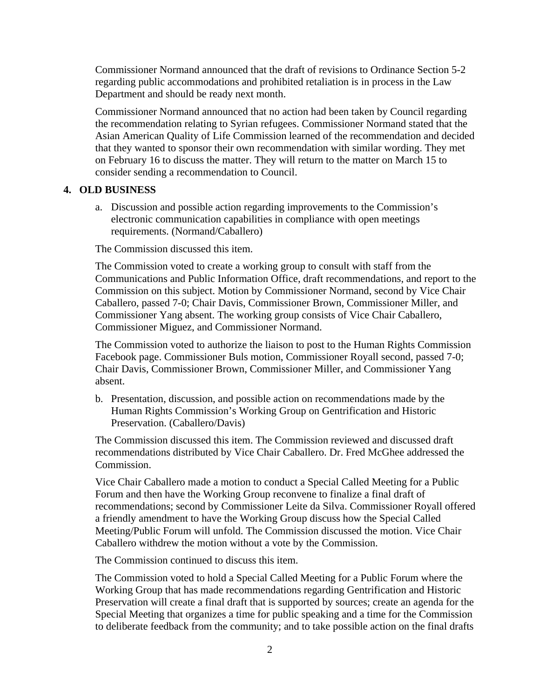Commissioner Normand announced that the draft of revisions to Ordinance Section 5-2 regarding public accommodations and prohibited retaliation is in process in the Law Department and should be ready next month.

Commissioner Normand announced that no action had been taken by Council regarding the recommendation relating to Syrian refugees. Commissioner Normand stated that the Asian American Quality of Life Commission learned of the recommendation and decided that they wanted to sponsor their own recommendation with similar wording. They met on February 16 to discuss the matter. They will return to the matter on March 15 to consider sending a recommendation to Council.

### **4. OLD BUSINESS**

a. Discussion and possible action regarding improvements to the Commission's electronic communication capabilities in compliance with open meetings requirements. (Normand/Caballero)

The Commission discussed this item.

The Commission voted to create a working group to consult with staff from the Communications and Public Information Office, draft recommendations, and report to the Commission on this subject. Motion by Commissioner Normand, second by Vice Chair Caballero, passed 7-0; Chair Davis, Commissioner Brown, Commissioner Miller, and Commissioner Yang absent. The working group consists of Vice Chair Caballero, Commissioner Miguez, and Commissioner Normand.

The Commission voted to authorize the liaison to post to the Human Rights Commission Facebook page. Commissioner Buls motion, Commissioner Royall second, passed 7-0; Chair Davis, Commissioner Brown, Commissioner Miller, and Commissioner Yang absent.

b. Presentation, discussion, and possible action on recommendations made by the Human Rights Commission's Working Group on Gentrification and Historic Preservation. (Caballero/Davis)

The Commission discussed this item. The Commission reviewed and discussed draft recommendations distributed by Vice Chair Caballero. Dr. Fred McGhee addressed the Commission.

Vice Chair Caballero made a motion to conduct a Special Called Meeting for a Public Forum and then have the Working Group reconvene to finalize a final draft of recommendations; second by Commissioner Leite da Silva. Commissioner Royall offered a friendly amendment to have the Working Group discuss how the Special Called Meeting/Public Forum will unfold. The Commission discussed the motion. Vice Chair Caballero withdrew the motion without a vote by the Commission.

The Commission continued to discuss this item.

The Commission voted to hold a Special Called Meeting for a Public Forum where the Working Group that has made recommendations regarding Gentrification and Historic Preservation will create a final draft that is supported by sources; create an agenda for the Special Meeting that organizes a time for public speaking and a time for the Commission to deliberate feedback from the community; and to take possible action on the final drafts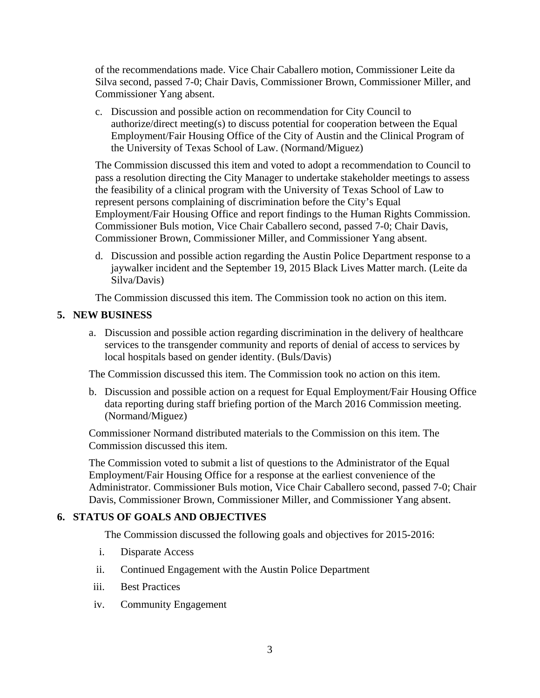of the recommendations made. Vice Chair Caballero motion, Commissioner Leite da Silva second, passed 7-0; Chair Davis, Commissioner Brown, Commissioner Miller, and Commissioner Yang absent.

c. Discussion and possible action on recommendation for City Council to authorize/direct meeting(s) to discuss potential for cooperation between the Equal Employment/Fair Housing Office of the City of Austin and the Clinical Program of the University of Texas School of Law. (Normand/Miguez)

The Commission discussed this item and voted to adopt a recommendation to Council to pass a resolution directing the City Manager to undertake stakeholder meetings to assess the feasibility of a clinical program with the University of Texas School of Law to represent persons complaining of discrimination before the City's Equal Employment/Fair Housing Office and report findings to the Human Rights Commission. Commissioner Buls motion, Vice Chair Caballero second, passed 7-0; Chair Davis, Commissioner Brown, Commissioner Miller, and Commissioner Yang absent.

d. Discussion and possible action regarding the Austin Police Department response to a jaywalker incident and the September 19, 2015 Black Lives Matter march. (Leite da Silva/Davis)

The Commission discussed this item. The Commission took no action on this item.

# **5. NEW BUSINESS**

a. Discussion and possible action regarding discrimination in the delivery of healthcare services to the transgender community and reports of denial of access to services by local hospitals based on gender identity. (Buls/Davis)

The Commission discussed this item. The Commission took no action on this item.

b. Discussion and possible action on a request for Equal Employment/Fair Housing Office data reporting during staff briefing portion of the March 2016 Commission meeting. (Normand/Miguez)

Commissioner Normand distributed materials to the Commission on this item. The Commission discussed this item.

The Commission voted to submit a list of questions to the Administrator of the Equal Employment/Fair Housing Office for a response at the earliest convenience of the Administrator. Commissioner Buls motion, Vice Chair Caballero second, passed 7-0; Chair Davis, Commissioner Brown, Commissioner Miller, and Commissioner Yang absent.

# **6. STATUS OF GOALS AND OBJECTIVES**

The Commission discussed the following goals and objectives for 2015-2016:

- i. Disparate Access
- ii. Continued Engagement with the Austin Police Department
- iii. Best Practices
- iv. Community Engagement